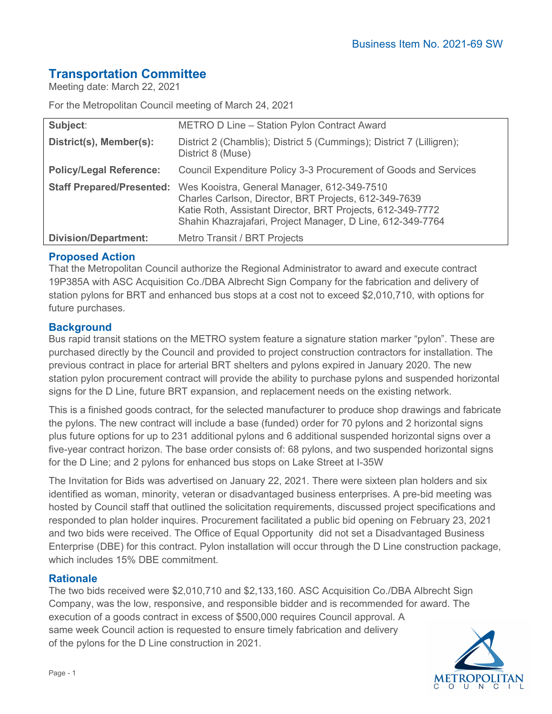# **Transportation Committee**

Meeting date: March 22, 2021

For the Metropolitan Council meeting of March 24, 2021

| Subject:                       | METRO D Line - Station Pylon Contract Award                                                                                                                                                                                                                |
|--------------------------------|------------------------------------------------------------------------------------------------------------------------------------------------------------------------------------------------------------------------------------------------------------|
| District(s), Member(s):        | District 2 (Chamblis); District 5 (Cummings); District 7 (Lilligren);<br>District 8 (Muse)                                                                                                                                                                 |
| <b>Policy/Legal Reference:</b> | Council Expenditure Policy 3-3 Procurement of Goods and Services                                                                                                                                                                                           |
|                                | Staff Prepared/Presented: Wes Kooistra, General Manager, 612-349-7510<br>Charles Carlson, Director, BRT Projects, 612-349-7639<br>Katie Roth, Assistant Director, BRT Projects, 612-349-7772<br>Shahin Khazrajafari, Project Manager, D Line, 612-349-7764 |
| <b>Division/Department:</b>    | Metro Transit / BRT Projects                                                                                                                                                                                                                               |

## **Proposed Action**

That the Metropolitan Council authorize the Regional Administrator to award and execute contract 19P385A with ASC Acquisition Co./DBA Albrecht Sign Company for the fabrication and delivery of station pylons for BRT and enhanced bus stops at a cost not to exceed \$2,010,710, with options for future purchases.

### **Background**

Bus rapid transit stations on the METRO system feature a signature station marker "pylon". These are purchased directly by the Council and provided to project construction contractors for installation. The previous contract in place for arterial BRT shelters and pylons expired in January 2020. The new station pylon procurement contract will provide the ability to purchase pylons and suspended horizontal signs for the D Line, future BRT expansion, and replacement needs on the existing network.

This is a finished goods contract, for the selected manufacturer to produce shop drawings and fabricate the pylons. The new contract will include a base (funded) order for 70 pylons and 2 horizontal signs plus future options for up to 231 additional pylons and 6 additional suspended horizontal signs over a five-year contract horizon. The base order consists of: 68 pylons, and two suspended horizontal signs for the D Line; and 2 pylons for enhanced bus stops on Lake Street at I-35W

The Invitation for Bids was advertised on January 22, 2021. There were sixteen plan holders and six identified as woman, minority, veteran or disadvantaged business enterprises. A pre-bid meeting was hosted by Council staff that outlined the solicitation requirements, discussed project specifications and responded to plan holder inquires. Procurement facilitated a public bid opening on February 23, 2021 and two bids were received. The Office of Equal Opportunity did not set a Disadvantaged Business Enterprise (DBE) for this contract. Pylon installation will occur through the D Line construction package, which includes 15% DBE commitment.

### **Rationale**

The two bids received were \$2,010,710 and \$2,133,160. ASC Acquisition Co./DBA Albrecht Sign Company, was the low, responsive, and responsible bidder and is recommended for award. The execution of a goods contract in excess of \$500,000 requires Council approval. A same week Council action is requested to ensure timely fabrication and delivery of the pylons for the D Line construction in 2021.